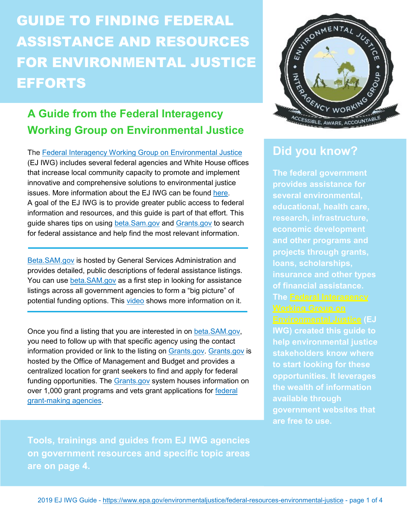# **GUIDE TO FINDING FEDERAL** ASSISTANCE AND RESOURCES FOR ENVIRONMENTAL JUSTICE **EFFORTS**

### **A Guide from the Federal Interagency Working Group on Environmental Justice**

The [Federal Interagency Working Group on Environmental Justice](https://www.epa.gov/environmentaljustice/federal-interagency-working-group-environmental-justice-ej-iwg) (EJ IWG) includes several federal agencies and White House offices that increase local community capacity to promote and implement innovative and comprehensive solutions to environmental justice issues. More information about the EJ IWG can be found [here.](https://www.epa.gov/environmentaljustice/factsheet-federal-interagency-working-group-environmental-justice) A goal of the EJ IWG is to provide greater public access to federal information and resources, and this guide is part of that effort. This guide shares tips on using [beta.Sam.gov](https://beta.sam.gov/) and [Grants.gov](https://www.grants.gov/) to search for federal assistance and help find the most relevant information.

[Beta.SAM.gov](https://beta.sam.gov/) is hosted by General Services Administration and provides detailed, public descriptions of federal assistance listings. You can use [beta.SAM.gov](https://beta.sam.gov/) as a first step in looking for assistance listings across all government agencies to form a "big picture" of potential funding options. This [video](https://www.youtube.com/watch?v=5uciZ431AGo&t) shows more information on it.

Once you find a listing that you are interested in on [beta.SAM.gov,](https://beta.sam.gov/) you need to follow up with that specific agency using the contact information provided or link to the listing on [Grants.gov. Grants.gov](https://www.grants.gov/) is hosted by the Office of Management and Budget and provides a centralized location for grant seekers to find and apply for federal funding opportunities. The [Grants.gov](https://www.grants.gov/) system houses information on over 1,000 grant programs and vets grant applications for [federal](https://www.grants.gov/web/grants/learn-grants/grant-making-agencies.html) [grant-making agencies.](https://www.grants.gov/web/grants/learn-grants/grant-making-agencies.html)

**Tools, trainings and guides from EJ IWG agencies on government resources and specific topic areas are on page 4.**



### **Did you know?**

**The federal government provides assistance for several environmental, educational, health care, research, infrastructure, economic development and other programs and projects through grants, loans, scholarships, insurance and other types of financial assistance. The [Federal Interagency](https://www.epa.gov/environmentaljustice/federal-interagency-working-group-environmental-justice-ej-iwg) [Environmental Justice](https://www.epa.gov/environmentaljustice/federal-interagency-working-group-environmental-justice-ej-iwg) (EJ IWG) created this guide to help environmental justice stakeholders know where to start looking for these opportunities. It leverages the wealth of information available through government websites that are free to use.**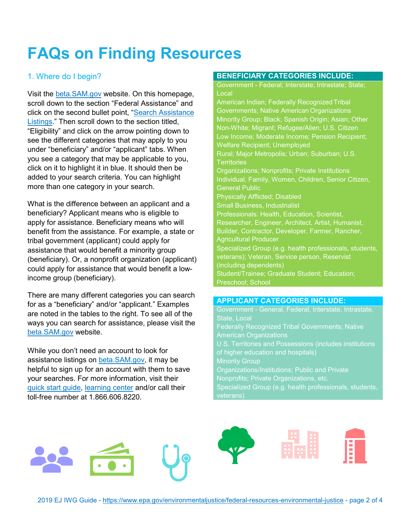# **FAQs on Finding Resources**

#### 1. Where do I begin?

Visit the [beta.SAM.gov](https://beta.sam.gov/) website. On this homepage, scroll down to the section "Federal Assistance" and click on the second bullet point, ["Search Assistance](https://beta.sam.gov/search?index=cfda) [Listings.](https://beta.sam.gov/search?index=cfda)" Then scroll down to the section titled, "Eligibility" and click on the arrow pointing down to see the different categories that may apply to you under "beneficiary" and/or "applicant" tabs. When you see a category that may be applicable to you, click on it to highlight it in blue. It should then be added to your search criteria. You can highlight more than one category in your search.

What is the difference between an applicant and a beneficiary? Applicant means who is eligible to apply for assistance. Beneficiary means who will benefit from the assistance. For example, a state or tribal government (applicant) could apply for assistance that would benefit a minority group (beneficiary). Or, a nonprofit organization (applicant) could apply for assistance that would benefit a lowincome group (beneficiary).

There are many different categories you can search for as a "beneficiary" and/or "applicant." Examples are noted in the tables to the right. To see all of the ways you can search for assistance, please visit the [beta.SAM.gov](https://beta.sam.gov/) website.

While you don't need an account to look for assistance listings on [beta.SAM.gov, i](https://beta.sam.gov/)t may be helpful to sign up for an account with them to save your searches. For more information, visit their [quick start guide,](https://sam.gov/sam/transcript/beta/Beta.SAM.Gov_QuickStartGuide-CFDA.pdf) [learning center](https://beta.sam.gov/help/assistance-listing) and/or call their toll-free number at 1.866.606.8220.

#### **BENEFICIARY CATEGORIES INCLUDE:**

Government - Federal; Interstate; Intrastate; State; **Local** American Indian; Federally Recognized Tribal Governments; Native American Organizations Minority Group; Black; Spanish Origin; Asian; Other Non-White; Migrant; Refugee/Alien; U.S. Citizen Low Income; Moderate Income; Pension Recipient; Welfare Recipient; Unemployed Rural; Major Metropolis; Urban; Suburban; U.S. **Territories** Organizations; Nonprofits; Private Institutions Individual, Family, Women, Children, Senior Citizen, General Public Physically Afflicted; Disabled Small Business, Industrialist Professionals: Health, Education, Scientist, Researcher, Engineer, Architect, Artist, Humanist, Builder, Contractor, Developer, Farmer, Rancher, Agricultural Producer Specialized Group (e.g. health professionals, students, veterans); Veteran, Service person, Reservist (including dependents) Student/Trainee; Graduate Student; Education; Preschool; School

#### **APPLICANT CATEGORIES INCLUDE:**

Government - General, Federal, Interstate, Intrastate, State, Local Federally Recognized Tribal Governments; Native American Organizations U.S. Territories and Possessions (includes institutions of higher education and hospitals) **Minority Group** Organizations/Institutions; Public and Private Nonprofits; Private Organizations, etc. Specialized Group (e.g. health professionals, students, veterans)

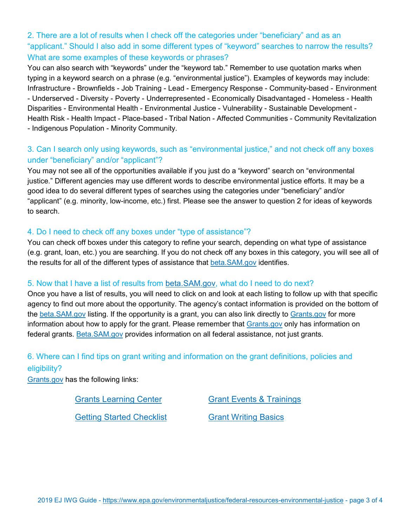2. There are a lot of results when I check off the categories under "beneficiary" and as an "applicant." Should I also add in some different types of "keyword" searches to narrow the results? What are some examples of these keywords or phrases?

You can also search with "keywords" under the "keyword tab." Remember to use quotation marks when typing in a keyword search on a phrase (e.g. "environmental justice"). Examples of keywords may include: Infrastructure - Brownfields - Job Training - Lead - Emergency Response - Community-based - Environment - Underserved - Diversity - Poverty - Underrepresented - Economically Disadvantaged - Homeless - Health Disparities - Environmental Health - Environmental Justice - Vulnerability - Sustainable Development - Health Risk - Health Impact - Place-based - Tribal Nation - Affected Communities - Community Revitalization - Indigenous Population - Minority Community.

#### 3. Can I search only using keywords, such as "environmental justice," and not check off any boxes under "beneficiary" and/or "applicant"?

You may not see all of the opportunities available if you just do a "keyword" search on "environmental justice." Different agencies may use different words to describe environmental justice efforts. It may be a good idea to do several different types of searches using the categories under "beneficiary" and/or "applicant" (e.g. minority, low-income, etc.) first. Please see the answer to question 2 for ideas of keywords to search.

#### 4. Do I need to check off any boxes under "type of assistance"?

You can check off boxes under this category to refine your search, depending on what type of assistance (e.g. grant, loan, etc.) you are searching. If you do not check off any boxes in this category, you will see all of the results for all of the different types of assistance that [beta.SAM.gov](https://beta.sam.gov/) identifies.

#### 5. Now that I have a list of results from [beta.SAM.gov,](https://beta.sam.gov/) what do I need to do next?

Once you have a list of results, you will need to click on and look at each listing to follow up with that specific agency to find out more about the opportunity. The agency's contact information is provided on the bottom of the [beta.SAM.gov](https://beta.sam.gov/) listing. If the opportunity is a grant, you can also link directly to [Grants.gov](https://www.grants.gov/) for more information about how to apply for the grant. Please remember that [Grants.gov](https://www.grants.gov/) only has information on federal grants. [Beta.SAM.gov](https://beta.sam.gov/) provides information on all federal assistance, not just grants.

## 6. Where can I find tips on grant writing and information on the grant definitions, policies and

#### eligibility?

[Grants.gov](https://www.grants.gov/) has the following links:

[Grants Learning Center](https://www.grants.gov/web/grants/learn-grants.html) [Grant Events & Trainings](https://blog.grants.gov/events/)

[Getting Started Checklist](https://www.grants.gov/web/grants/learn-grants/grants-101/getting-started-checklist.html) [Grant Writing Basics](https://grantsgovprod.wordpress.com/category/learngrants/grant-writing-basics/)